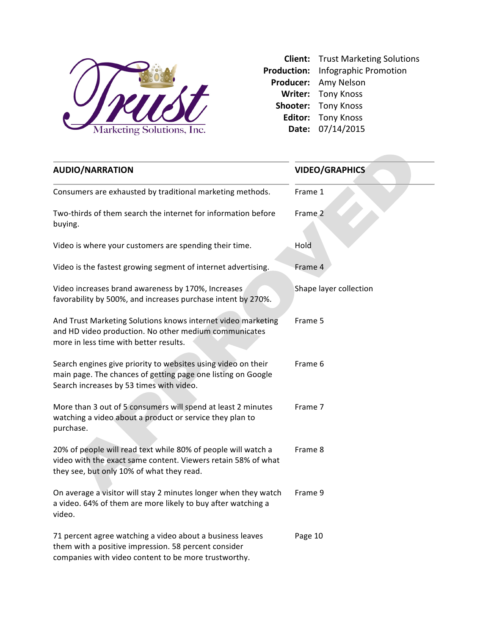

**Client:** Trust Marketing Solutions Production: Infographic Promotion Producer: Amy Nelson **Writer:** Tony Knoss **Shooter:** Tony Knoss Editor: Tony Knoss **Date:** 07/14/2015

| <b>AUDIO/NARRATION</b>                                                                                                                                                      | <b>VIDEO/GRAPHICS</b>  |
|-----------------------------------------------------------------------------------------------------------------------------------------------------------------------------|------------------------|
| Consumers are exhausted by traditional marketing methods.                                                                                                                   | Frame 1                |
| Two-thirds of them search the internet for information before<br>buying.                                                                                                    | Frame <sub>2</sub>     |
| Video is where your customers are spending their time.                                                                                                                      | Hold                   |
| Video is the fastest growing segment of internet advertising.                                                                                                               | Frame 4                |
| Video increases brand awareness by 170%, Increases<br>favorability by 500%, and increases purchase intent by 270%.                                                          | Shape layer collection |
| And Trust Marketing Solutions knows internet video marketing<br>and HD video production. No other medium communicates<br>more in less time with better results.             | Frame 5                |
| Search engines give priority to websites using video on their<br>main page. The chances of getting page one listing on Google<br>Search increases by 53 times with video.   | Frame 6                |
| More than 3 out of 5 consumers will spend at least 2 minutes<br>watching a video about a product or service they plan to<br>purchase.                                       | Frame 7                |
| 20% of people will read text while 80% of people will watch a<br>video with the exact same content. Viewers retain 58% of what<br>they see, but only 10% of what they read. | Frame 8                |
| On average a visitor will stay 2 minutes longer when they watch<br>a video. 64% of them are more likely to buy after watching a<br>video.                                   | Frame 9                |
| 71 percent agree watching a video about a business leaves<br>them with a positive impression. 58 percent consider<br>companies with video content to be more trustworthy.   | Page 10                |